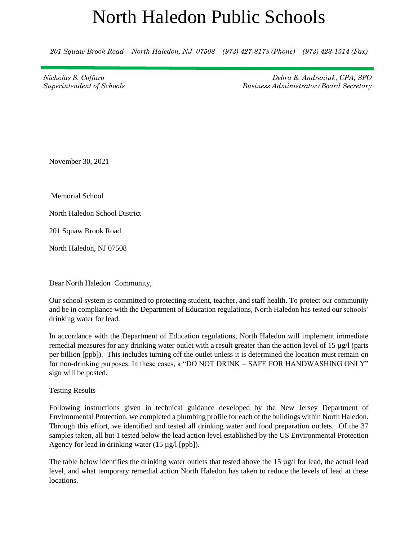*201 Squaw Brook Road North Haledon, NJ 07508 (973) 427-8178 (Phone) (973) 423-1514 (Fax)*

*Nicholas S. Coffaro Superintendent of Schools*

*Debra E. Andreniuk, CPA, SFO Business Administrator/Board Secretary*

November 30, 2021

Memorial School

North Haledon School District

201 Squaw Brook Road

North Haledon, NJ 07508

Dear North Haledon Community,

Our school system is committed to protecting student, teacher, and staff health. To protect our community and be in compliance with the Department of Education regulations, North Haledon has tested our schools' drinking water for lead.

In accordance with the Department of Education regulations, North Haledon will implement immediate remedial measures for any drinking water outlet with a result greater than the action level of 15 µg/l (parts per billion [ppb]). This includes turning off the outlet unless it is determined the location must remain on for non-drinking purposes. In these cases, a "DO NOT DRINK – SAFE FOR HANDWASHING ONLY" sign will be posted.

#### Testing Results

Following instructions given in technical guidance developed by the New Jersey Department of Environmental Protection, we completed a plumbing profile for each of the buildings within North Haledon. Through this effort, we identified and tested all drinking water and food preparation outlets. Of the 37 samples taken, all but 1 tested below the lead action level established by the US Environmental Protection Agency for lead in drinking water  $(15 \mu g/l$  [ppb]).

The table below identifies the drinking water outlets that tested above the  $15 \mu g/l$  for lead, the actual lead level, and what temporary remedial action North Haledon has taken to reduce the levels of lead at these locations.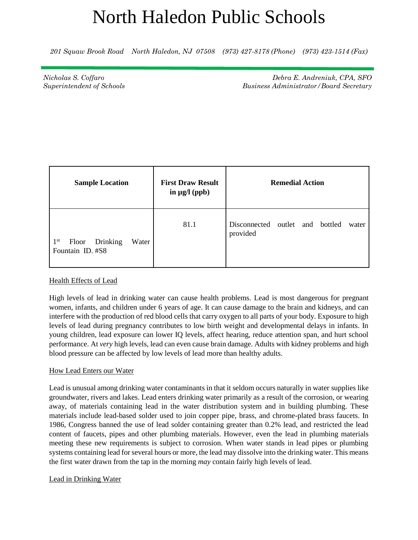*201 Squaw Brook Road North Haledon, NJ 07508 (973) 427-8178 (Phone) (973) 423-1514 (Fax)*

*Nicholas S. Coffaro Superintendent of Schools*

*Debra E. Andreniuk, CPA, SFO Business Administrator/Board Secretary*

| <b>Sample Location</b>                                            | <b>First Draw Result</b><br>in $\mu$ g/l (ppb) | <b>Remedial Action</b>                                     |
|-------------------------------------------------------------------|------------------------------------------------|------------------------------------------------------------|
| 1 <sup>st</sup><br>Drinking<br>Water<br>Floor<br>Fountain ID. #S8 | 81.1                                           | outlet and<br>Disconnected<br>bottled<br>water<br>provided |

#### Health Effects of Lead

High levels of lead in drinking water can cause health problems. Lead is most dangerous for pregnant women, infants, and children under 6 years of age. It can cause damage to the brain and kidneys, and can interfere with the production of red blood cells that carry oxygen to all parts of your body. Exposure to high levels of lead during pregnancy contributes to low birth weight and developmental delays in infants. In young children, lead exposure can lower IQ levels, affect hearing, reduce attention span, and hurt school performance. At *very* high levels, lead can even cause brain damage. Adults with kidney problems and high blood pressure can be affected by low levels of lead more than healthy adults.

#### How Lead Enters our Water

Lead is unusual among drinking water contaminants in that it seldom occurs naturally in water supplies like groundwater, rivers and lakes. Lead enters drinking water primarily as a result of the corrosion, or wearing away, of materials containing lead in the water distribution system and in building plumbing. These materials include lead-based solder used to join copper pipe, brass, and chrome-plated brass faucets. In 1986, Congress banned the use of lead solder containing greater than 0.2% lead, and restricted the lead content of faucets, pipes and other plumbing materials. However, even the lead in plumbing materials meeting these new requirements is subject to corrosion. When water stands in lead pipes or plumbing systems containing lead for several hours or more, the lead may dissolve into the drinking water. This means the first water drawn from the tap in the morning *may* contain fairly high levels of lead.

#### Lead in Drinking Water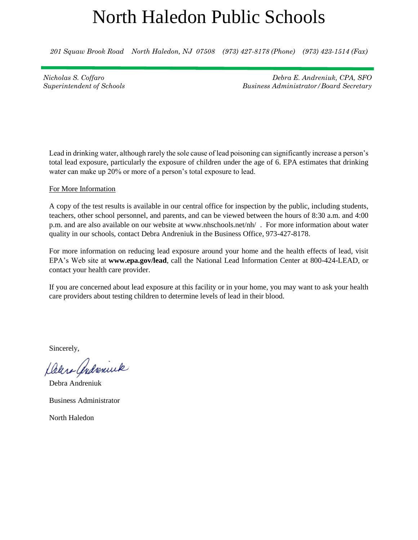*201 Squaw Brook Road North Haledon, NJ 07508 (973) 427-8178 (Phone) (973) 423-1514 (Fax)*

*Nicholas S. Coffaro Superintendent of Schools*

*Debra E. Andreniuk, CPA, SFO Business Administrator/Board Secretary*

Lead in drinking water, although rarely the sole cause of lead poisoning can significantly increase a person's total lead exposure, particularly the exposure of children under the age of 6. EPA estimates that drinking water can make up 20% or more of a person's total exposure to lead.

#### For More Information

A copy of the test results is available in our central office for inspection by the public, including students, teachers, other school personnel, and parents, and can be viewed between the hours of 8:30 a.m. and 4:00 p.m. and are also available on our website at www.nhschools.net/nh/ . For more information about water quality in our schools, contact Debra Andreniuk in the Business Office, 973-427-8178.

For more information on reducing lead exposure around your home and the health effects of lead, visit EPA's Web site at **www.epa.gov/lead**, call the National Lead Information Center at 800-424-LEAD, or contact your health care provider.

If you are concerned about lead exposure at this facility or in your home, you may want to ask your health care providers about testing children to determine levels of lead in their blood.

Sincerely,

Deure Andreniuk

Debra Andreniuk Business Administrator

North Haledon